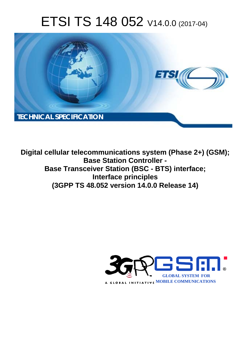# ETSI TS 148 052 V14.0.0 (2017-04)



**Digital cellular telecommunications system (Phase 2+) (GSM); Base Station Controller - Base Transceiver Station (BSC - BTS) interface; Interface principles (3GPP TS 48.052 version 14.0.0 Release 14)** 

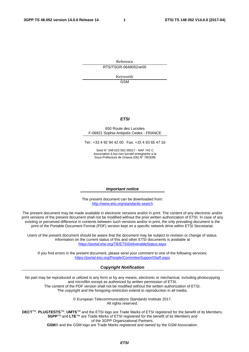Reference RTS/TSGR-0648052ve00

> Keywords GSM

#### *ETSI*

#### 650 Route des Lucioles F-06921 Sophia Antipolis Cedex - FRANCE

Tel.: +33 4 92 94 42 00 Fax: +33 4 93 65 47 16

Siret N° 348 623 562 00017 - NAF 742 C Association à but non lucratif enregistrée à la Sous-Préfecture de Grasse (06) N° 7803/88

#### *Important notice*

The present document can be downloaded from: <http://www.etsi.org/standards-search>

The present document may be made available in electronic versions and/or in print. The content of any electronic and/or print versions of the present document shall not be modified without the prior written authorization of ETSI. In case of any existing or perceived difference in contents between such versions and/or in print, the only prevailing document is the print of the Portable Document Format (PDF) version kept on a specific network drive within ETSI Secretariat.

Users of the present document should be aware that the document may be subject to revision or change of status. Information on the current status of this and other ETSI documents is available at <https://portal.etsi.org/TB/ETSIDeliverableStatus.aspx>

If you find errors in the present document, please send your comment to one of the following services: <https://portal.etsi.org/People/CommiteeSupportStaff.aspx>

#### *Copyright Notification*

No part may be reproduced or utilized in any form or by any means, electronic or mechanical, including photocopying and microfilm except as authorized by written permission of ETSI.

The content of the PDF version shall not be modified without the written authorization of ETSI. The copyright and the foregoing restriction extend to reproduction in all media.

> © European Telecommunications Standards Institute 2017. All rights reserved.

**DECT**TM, **PLUGTESTS**TM, **UMTS**TM and the ETSI logo are Trade Marks of ETSI registered for the benefit of its Members. **3GPP**TM and **LTE**™ are Trade Marks of ETSI registered for the benefit of its Members and of the 3GPP Organizational Partners.

**GSM**® and the GSM logo are Trade Marks registered and owned by the GSM Association.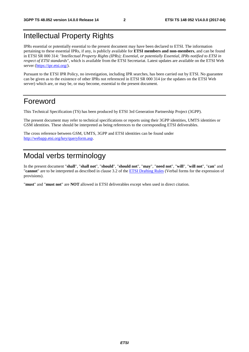### Intellectual Property Rights

IPRs essential or potentially essential to the present document may have been declared to ETSI. The information pertaining to these essential IPRs, if any, is publicly available for **ETSI members and non-members**, and can be found in ETSI SR 000 314: *"Intellectual Property Rights (IPRs); Essential, or potentially Essential, IPRs notified to ETSI in respect of ETSI standards"*, which is available from the ETSI Secretariat. Latest updates are available on the ETSI Web server ([https://ipr.etsi.org/\)](https://ipr.etsi.org/).

Pursuant to the ETSI IPR Policy, no investigation, including IPR searches, has been carried out by ETSI. No guarantee can be given as to the existence of other IPRs not referenced in ETSI SR 000 314 (or the updates on the ETSI Web server) which are, or may be, or may become, essential to the present document.

### Foreword

This Technical Specification (TS) has been produced by ETSI 3rd Generation Partnership Project (3GPP).

The present document may refer to technical specifications or reports using their 3GPP identities, UMTS identities or GSM identities. These should be interpreted as being references to the corresponding ETSI deliverables.

The cross reference between GSM, UMTS, 3GPP and ETSI identities can be found under [http://webapp.etsi.org/key/queryform.asp.](http://webapp.etsi.org/key/queryform.asp)

### Modal verbs terminology

In the present document "**shall**", "**shall not**", "**should**", "**should not**", "**may**", "**need not**", "**will**", "**will not**", "**can**" and "**cannot**" are to be interpreted as described in clause 3.2 of the [ETSI Drafting Rules](https://portal.etsi.org/Services/editHelp!/Howtostart/ETSIDraftingRules.aspx) (Verbal forms for the expression of provisions).

"**must**" and "**must not**" are **NOT** allowed in ETSI deliverables except when used in direct citation.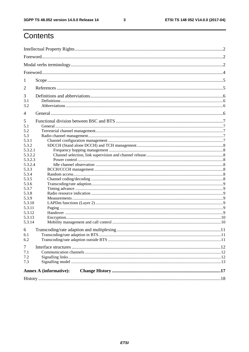$\mathbf{3}$ 

### Contents

| 1                                                                                                                                                                                                     |  |  |  |  |  |
|-------------------------------------------------------------------------------------------------------------------------------------------------------------------------------------------------------|--|--|--|--|--|
| 2                                                                                                                                                                                                     |  |  |  |  |  |
| 3<br>3.1<br>3.2                                                                                                                                                                                       |  |  |  |  |  |
| $\overline{4}$                                                                                                                                                                                        |  |  |  |  |  |
| 5<br>5.1<br>5.2<br>5.3<br>5.3.1<br>5.3.2<br>5.3.2.1<br>5.3.2.2<br>5.3.2.3<br>5.3.2.4<br>5.3.3<br>5.3.4<br>5.3.5<br>5.3.6<br>5.3.7<br>5.3.8<br>5.3.9<br>5.3.10<br>5.3.11<br>5.3.12<br>5.3.13<br>5.3.14 |  |  |  |  |  |
| 6<br>6.1                                                                                                                                                                                              |  |  |  |  |  |
| 6.2<br>$\tau$<br>7.1<br>7.2<br>7.3                                                                                                                                                                    |  |  |  |  |  |
| <b>Annex A (informative):</b>                                                                                                                                                                         |  |  |  |  |  |
|                                                                                                                                                                                                       |  |  |  |  |  |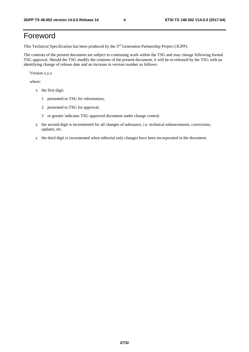### Foreword

This Technical Specification has been produced by the 3rd Generation Partnership Project (3GPP).

The contents of the present document are subject to continuing work within the TSG and may change following formal TSG approval. Should the TSG modify the contents of the present document, it will be re-released by the TSG with an identifying change of release date and an increase in version number as follows:

Version x.y.z

where:

- x the first digit:
	- 1 presented to TSG for information;
	- 2 presented to TSG for approval;
	- 3 or greater indicates TSG approved document under change control.
- y the second digit is incremented for all changes of substance, i.e. technical enhancements, corrections, updates, etc.
- z the third digit is incremented when editorial only changes have been incorporated in the document.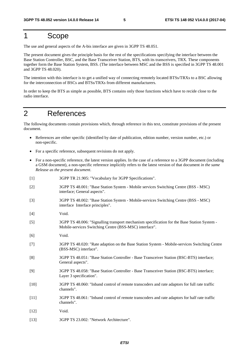### 1 Scope

The use and general aspects of the A-bis interface are given in 3GPP TS 48.051.

The present document gives the principle basis for the rest of the specifications specifying the interface between the Base Station Controller, BSC, and the Base Transceiver Station, BTS, with its transceivers, TRX. These components together form the Base Station System, BSS. (The interface between MSC and the BSS is specified in 3GPP TS 48.001 and 3GPP TS 48.020).

The intention with this interface is to get a unified way of connecting remotely located BTSs/TRXs to a BSC allowing for the interconnection of BSCs and BTSs/TRXs from different manufacturers.

In order to keep the BTS as simple as possible, BTS contains only those functions which have to recide close to the radio interface.

### 2 References

The following documents contain provisions which, through reference in this text, constitute provisions of the present document.

- References are either specific (identified by date of publication, edition number, version number, etc.) or non-specific.
- For a specific reference, subsequent revisions do not apply.
- For a non-specific reference, the latest version applies. In the case of a reference to a 3GPP document (including a GSM document), a non-specific reference implicitly refers to the latest version of that document *in the same Release as the present document*.
- [1] 3GPP TR 21.905: "Vocabulary for 3GPP Specifications".
- [2] 3GPP TS 48.001: "Base Station System Mobile services Switching Centre (BSS MSC) interface; General aspects".
- [3] 3GPP TS 48.002: "Base Station System Mobile-services Switching Centre (BSS MSC) interface Interface principles".
- [4] Void.
- [5] 3GPP TS 48.006: "Signalling transport mechanism specification for the Base Station System Mobile-services Switching Centre (BSS-MSC) interface".
- [6] Void.
- [7] 3GPP TS 48.020: "Rate adaption on the Base Station System Mobile-services Switching Centre (BSS-MSC) interface".
- [8] 3GPP TS 48.051: "Base Station Controller Base Transceiver Station (BSC-BTS) interface; General aspects".
- [9] 3GPP TS 48.058: "Base Station Controller Base Transceiver Station (BSC-BTS) interface; Layer 3 specification".
- [10] 3GPP TS 48.060: "Inband control of remote transcoders and rate adaptors for full rate traffic channels".
- [11] 3GPP TS 48.061: "Inband control of remote transcoders and rate adaptors for half rate traffic channels".
- [12] Void.
- [13] 3GPP TS 23.002: "Network Architecture".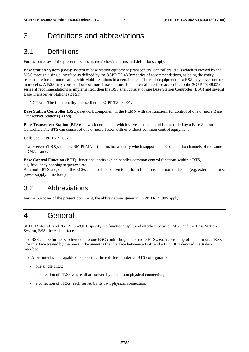### 3 Definitions and abbreviations

#### 3.1 Definitions

For the purposes of the present document, the following terms and definitions apply:

**Base Station System (BSS):** system of base station equipment (transceivers, controllers, etc..) which is viewed by the MSC through a single interface as defined by the 3GPP TS 48.0xx series of recommendations, as being the entity responsible for communicating with Mobile Stations in a certain area. The radio equipment of a BSS may cover one or more cells. A BSS may consist of one or more base stations. If an internal interface according to the 3GPP TS 48.05x series at recommendations is implemented, then the BSS shall consist of one Base Station Controller (BSC) and several Base Transceiver Stations (BTSs).

NOTE: The functionality is described in 3GPP TS 48.001.

**Base Station Controller (BSC):** network component in the PLMN with the functions for control of one or more Base Transceiver Stations (BTSs).

**Base Transceiver Station (BTS):** network component which serves one cell, and is controlled by a Base Station Controller. The BTS can consist of one or more TRXs with or without common control equipment.

**Cell:** See 3GPP TS 23.002.

**Transceiver (TRX):** in the GSM PLMN is the functional entity which supports the 8 basic radio channels of the same TDMA-frame.

**Base Control Function (BCF):** functional entity which handles common control functions within a BTS, e.g. frequency hopping sequences etc.

At a multi BTS site, one of the BCFs can also be choosen to perform functions common to the site (e.g. external alarms, power supply, time base).

#### 3.2 Abbreviations

For the purposes of the present document, the abbreviations given in 3GPP TR 21.905 apply.

### 4 General

3GPP TS 48.001 and 3GPP TS 48.020 specify the functional split and interface between MSC and the Base Station System, BSS, the A- interface.

The BSS can be further subdivided into one BSC controlling one or more BTSs, each consisting of one or more TRXs. The interface treated by the present document is the interface between a BSC and a BTS. It is denoted the A-bisinterface.

The A-bis-interface is capable of supporting three different internal BTS configurations:

- one single TRX;
- a collection of TRXs where all are served by a common physical connection;
- a collection of TRXs, each served by its own physical connection.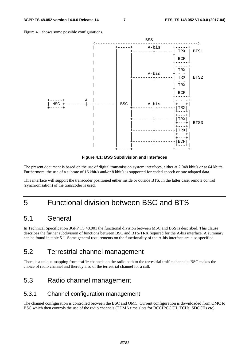Figure 4.1 shows some possible configurations.



**Figure 4.1: BSS Subdivision and Interfaces** 

The present document is based on the use of digital transmission system interfaces, either at 2 048 kbit/s or at 64 kbit/s. Furthermore, the use of a subrate of 16 kbit/s and/or 8 kbit/s is supported for coded speech or rate adapted data.

This interface will support the transcoder positioned either inside or outside BTS. In the latter case, remote control (synchronisation) of the transcoder is used.

### 5 Functional division between BSC and BTS

#### 5.1 General

In Technical Specification 3GPP TS 48.001 the functional division between MSC and BSS is described. This clause describes the further subdivision of functions between BSC and BTS/TRX required for the A-bis interface. A summary can be found in table 5.1. Some general requirements on the functionality of the A-bis interface are also specified.

### 5.2 Terrestrial channel management

There is a unique mapping from traffic channels on the radio path to the terrestrial traffic channels. BSC makes the choice of radio channel and thereby also of the terrestrial channel for a call.

### 5.3 Radio channel management

#### 5.3.1 Channel configuration management

The channel configuration is controlled between the BSC and OMC. Current configuration is downloaded from OMC to BSC which then controls the use of the radio channels (TDMA time slots for BCCH/CCCH, TCHs, SDCCHs etc).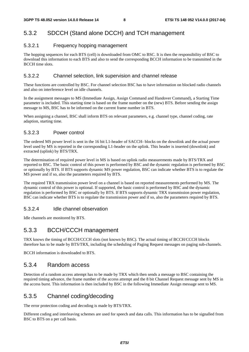#### 5.3.2 SDCCH (Stand alone DCCH) and TCH management

#### 5.3.2.1 Frequency hopping management

The hopping sequences for each BTS (cell) is downloaded from OMC to BSC. It is then the responsibility of BSC to download this information to each BTS and also to send the corresponding BCCH information to be transmitted in the BCCH time slots.

#### 5.3.2.2 Channel selection, link supervision and channel release

These functions are controlled by BSC. For channel selection BSC has to have information on blocked radio channels and also on interference level on idle channels.

In the assignment messages to MS (Immediate Assign, Assign Command and Handover Command), a Starting Time parameter is included. This starting time is based on the frame number on the (new) BTS. Before sending the assign message to MS, BSC has to be informed on the current frame number in BTS.

When assigning a channel, BSC shall inform BTS on relevant parameters, e.g. channel type, channel coding, rate adaption, starting time.

#### 5.3.2.3 Power control

The ordered MS power level is sent in the 16 bit L1-header of SACCH- blocks on the downlink and the actual power level used by MS is reported in the corresponding L1-header on the uplink. This header is inserted (downlink) and extracted (uplink) by BTS/TRX.

The determination of required power level in MS is based on uplink radio measurements made by BTS/TRX and reported to BSC. The basic control of this power is performed by BSC and the dynamic regulation is performed by BSC or optionally by BTS. If BTS supports dynamic MS power regulation, BSC can indicate whether BTS is to regulate the MS power and if so, also the parameters required by BTS.

The required TRX transmission power level on a channel is based on reported measurements performed by MS. The dynamic control of this power is optional. If supported, the basic control is performed by BSC and the dynamic regulation is performed by BSC or optionally by BTS. If BTS supports dynamic TRX transmission power regulation, BSC can indicate whether BTS is to regulate the transmission power and if so, also the parameters required by BTS.

#### 5.3.2.4 Idle channel observation

Idle channels are monitored by BTS.

#### 5.3.3 BCCH/CCCH management

TRX knows the timing of BCCH/CCCH slots (not known by BSC). The actual timing of BCCH/CCCH blocks therefore has to be made by BTS/TRX, including the scheduling of Paging Request messages on paging sub-channels.

BCCH information is downloaded to BTS.

#### 5.3.4 Random access

Detection of a random access attempt has to be made by TRX which then sends a message to BSC containing the required timing advance, the frame number of the access attempt and the 8 bit Channel Request message sent by MS in the access burst. This information is then included by BSC in the following Immediate Assign message sent to MS.

#### 5.3.5 Channel coding/decoding

The error protection coding and decoding is made by BTS/TRX.

Different coding and interleaving schemes are used for speech and data calls. This information has to be signalled from BSC to BTS on a per call basis.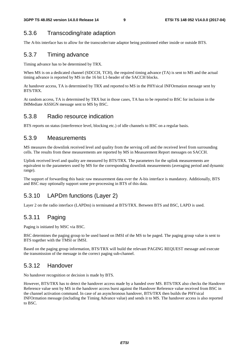#### 5.3.6 Transcoding/rate adaption

The A-bis interface has to allow for the transcoder/rate adaptor being positioned either inside or outside BTS.

#### 5.3.7 Timing advance

Timing advance has to be determined by TRX.

When MS is on a dedicated channel (SDCCH, TCH), the required timing advance (TA) is sent to MS and the actual timing advance is reported by MS in the 16 bit L1-header of the SACCH blocks.

At handover access, TA is determined by TRX and reported to MS in the PHYsical INFOrmation message sent by BTS/TRX.

At random access, TA is determined by TRX but in those cases, TA has to be reported to BSC for inclusion in the IMMediate ASSIGN message sent to MS by BSC.

#### 5.3.8 Radio resource indication

BTS reports on status (interference level, blocking etc.) of idle channels to BSC on a regular basis.

#### 5.3.9 Measurements

MS measures the downlink received level and quality from the serving cell and the received level from surrounding cells. The results from these measurements are reported by MS in Measurement Report messages on SACCH.

Uplink received level and quality are measured by BTS/TRX. The parameters for the uplink measurements are equivalent to the parameters used by MS for the corresponding downlink measurements (averaging period and dynamic range).

The support of forwarding this basic raw measurement data over the A-bis interface is mandatory. Additionally, BTS and BSC may optionally support some pre-processing in BTS of this data.

#### 5.3.10 LAPDm functions (Layer 2)

Layer 2 on the radio interface (LAPDm) is terminated at BTS/TRX. Between BTS and BSC, LAPD is used.

#### 5.3.11 Paging

Paging is initiated by MSC via BSC.

BSC determines the paging group to be used based on IMSI of the MS to be paged. The paging group value is sent to BTS together with the TMSI or IMSI.

Based on the paging group information, BTS/TRX will build the relevant PAGING REQUEST message and execute the transmission of the message in the correct paging sub-channel.

#### 5.3.12 Handover

No handover recognition or decision is made by BTS.

However, BTS/TRX has to detect the handover access made by a handed over MS. BTS/TRX also checks the Handover Reference value sent by MS in the handover access burst against the Handover Reference value received from BSC in the channel activation command. In case of an asynchronous handover, BTS/TRX then builds the PHYsical INFOrmation message (including the Timing Advance value) and sends it to MS. The handover access is also reported to BSC.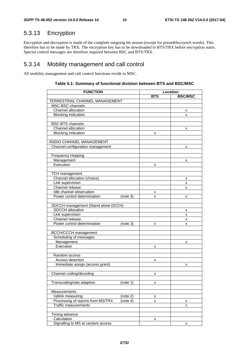### 5.3.13 Encryption

Encryption and decryption is made of the complete outgoing bit stream (except for preambles/synch words). This therefore has to be made by TRX. The encryption key has to be downloaded to BTS/TRX before encryption starts. Special control messages are therefore required between BSC and BTS/TRX.

#### 5.3.14 Mobility management and call control

All mobility management and call control functions recide in MSC.

| <b>FUNCTION</b>                     |          | Location   |                |  |  |
|-------------------------------------|----------|------------|----------------|--|--|
|                                     |          | <b>BTS</b> | <b>BSC/MSC</b> |  |  |
| TERRESTRIAL CHANNEL MANAGEMENT      |          |            |                |  |  |
| MSC-BSC channels                    |          |            |                |  |  |
| Channel allocation                  |          |            | x              |  |  |
| <b>Blocking indication</b>          |          |            | x              |  |  |
|                                     |          |            |                |  |  |
| <b>BSC-BTS</b> channels             |          |            |                |  |  |
| Channel allocation                  |          |            | х              |  |  |
| <b>Blocking indication</b>          |          | x          |                |  |  |
|                                     |          |            |                |  |  |
| RADIO CHANNEL MANAGEMENT            |          |            |                |  |  |
| Channel configuration management    |          |            | x              |  |  |
|                                     |          |            |                |  |  |
| Frequency Hopping                   |          |            |                |  |  |
| Management                          |          |            | x              |  |  |
| Execution                           |          | x          |                |  |  |
|                                     |          |            |                |  |  |
| <b>TCH</b> management               |          |            |                |  |  |
| Channel allocation (choice)         |          |            | x              |  |  |
| Link supervision                    |          |            | x              |  |  |
| Channel release                     |          |            | x              |  |  |
| Idle channel observation            |          | X          |                |  |  |
| Power control determination         | (note 3) | x          | x              |  |  |
|                                     |          |            |                |  |  |
| SDCCH management (Stand alone DCCH) |          |            |                |  |  |
| SDCCH allocation                    |          |            | х              |  |  |
| Link supervision                    |          |            | x              |  |  |
| Channel release                     |          |            | x              |  |  |
| Power control determination         | (note 3) | x          | x              |  |  |
|                                     |          |            |                |  |  |
| <b>BCCH/CCCH</b> management         |          |            |                |  |  |
| Scheduling of messages              |          |            |                |  |  |
| Management                          |          |            | x              |  |  |
| Execution                           |          | х          |                |  |  |
|                                     |          |            |                |  |  |
| Random access                       |          |            |                |  |  |
| Access detection                    |          | x          |                |  |  |
| Immediate assign (access grant)     |          |            | x              |  |  |
|                                     |          |            |                |  |  |
| Channel coding/decoding             |          | Χ          |                |  |  |
|                                     |          |            |                |  |  |
| Transcoding/rate adaption           | (note 1) | x          |                |  |  |
|                                     |          |            |                |  |  |
| Measurements                        |          |            |                |  |  |
| Uplink measuring                    | (note 2) | x          |                |  |  |
| Processing of reports from MS/TRX   | (note 4) | x          | х              |  |  |
| <b>Traffic measurements</b>         |          |            | x              |  |  |
|                                     |          |            |                |  |  |
| Timing advance                      |          |            |                |  |  |
| Calculation                         |          | x          |                |  |  |
| Signalling to MS at random access   |          |            | x              |  |  |

#### **Table 5.1: Summary of functional division between BTS and BSC/MSC**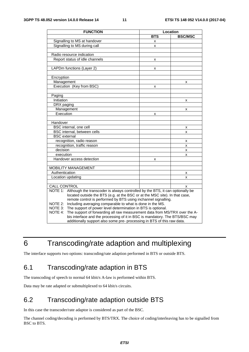| <b>FUNCTION</b>                                                                          | Location   |                |  |
|------------------------------------------------------------------------------------------|------------|----------------|--|
|                                                                                          | <b>BTS</b> | <b>BSC/MSC</b> |  |
| Signalling to MS at handover                                                             | x          |                |  |
| Signalling to MS during call                                                             | x          |                |  |
|                                                                                          |            |                |  |
| Radio resource indication                                                                |            |                |  |
| Report status of idle channels                                                           | x          |                |  |
|                                                                                          |            |                |  |
| LAPDm functions (Layer 2)                                                                | x          |                |  |
|                                                                                          |            |                |  |
| Encryption                                                                               |            |                |  |
| Management                                                                               |            | x              |  |
| Execution (Key from BSC)                                                                 | x          |                |  |
|                                                                                          |            |                |  |
| Paging                                                                                   |            |                |  |
| Initiation                                                                               |            | x              |  |
| DRX paging                                                                               |            |                |  |
| Management                                                                               |            | x              |  |
| Execution                                                                                | x          |                |  |
|                                                                                          |            |                |  |
| Handover                                                                                 |            |                |  |
| BSC internal, one cell                                                                   |            | x              |  |
| BSC internal, between cells                                                              |            | x              |  |
| <b>BSC</b> external                                                                      |            |                |  |
| recognition, radio reason                                                                |            | x              |  |
| recognition, traffic reason                                                              |            | x              |  |
| decision                                                                                 |            | x              |  |
| execution                                                                                |            | x              |  |
| Handover access detection                                                                | x          |                |  |
|                                                                                          |            |                |  |
| MOBILITY MANAGEMENT                                                                      |            |                |  |
| Authentication                                                                           |            | x              |  |
| Location updating                                                                        |            | x              |  |
|                                                                                          |            |                |  |
| <b>CALL CONTROL</b>                                                                      |            | x              |  |
| NOTE 1:<br>Although the transcoder is always controlled by the BTS, it can optionally be |            |                |  |
| located outside the BTS (e.g. at the BSC or at the MSC site). In that case,              |            |                |  |
| remote control is performed by BTS using inchannel signalling.                           |            |                |  |
| Including averaging comparable to what is done in the MS.<br>NOTE 2:                     |            |                |  |
| NOTE 3: The support of power level determination in BTS is optional.                     |            |                |  |
| NOTE 4:<br>The support of forwarding all raw measurement data from MS/TRX over the A-    |            |                |  |
| bis interface and the processing of it in BSC is mandatory. The BTS/BSC may              |            |                |  |
| additionally support also some pre- processing in BTS of this raw data.                  |            |                |  |

### 6 Transcoding/rate adaption and multiplexing

The interface supports two options: transcoding/rate adaption performed in BTS or outside BTS.

### 6.1 Transcoding/rate adaption in BTS

The transcoding of speech to normal 64 kbit/s A-law is performed within BTS.

Data may be rate adapted or submultiplexed to 64 kbit/s circuits.

### 6.2 Transcoding/rate adaption outside BTS

In this case the transcoder/rate adaptor is considered as part of the BSC.

The channel coding/decoding is performed by BTS/TRX. The choice of coding/interleaving has to be signalled from BSC to BTS.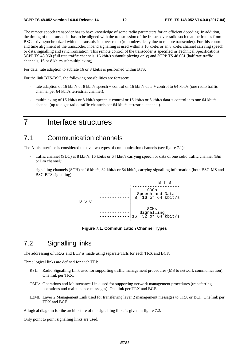The remote speech transcoder has to have knowledge of some radio parameters for an efficient decoding. In addition, the timing of the transcoder has to be aligned with the transmission of the frames over radio such that the frames from BSC arrive synchronized with the transmission over radio (minimizes delay due to remote transcoder). For this control and time alignment of the transcoder, inband signalling is used within a 16 kbit/s or an 8 kbit/s channel carrying speech or data, signalling and synchronisation. This remote control of the transcoder is specified in Technical Specifications 3GPP TS 48.060 (full rate traffic channels, 16 kbit/s submultiplexing only) and 3GPP TS 48.061 (half rate traffic channels, 16 or 8 kbit/s submultiplexing).

For data, rate adaption to subrate 16 or 8 kbit/s is performed within BTS.

For the link BTS-BSC, the following possibilities are foreseen:

- rate adaption of 16 kbit/s or 8 kbit/s speech + control or 16 kbit/s data + control to 64 kbit/s (one radio traffic channel per 64 kbit/s terrestrial channel);
- multiplexing of 16 kbit/s or 8 kbit/s speech + control or 16 kbit/s or 8 kbit/s data + control into one 64 kbit/s channel (up to eight radio traffic channels per 64 kbit/s terrestrial channel).

### 7 Interface structures

#### 7.1 Communication channels

The A-bis interface is considered to have two types of communication channels (see figure 7.1):

- traffic channel (SDC) at 8 kbit/s, 16 kbit/s or 64 kbit/s carrying speech or data of one radio traffic channel (Bm or Lm channel);
- signalling channels (SCH) at 16 kbit/s, 32 kbit/s or 64 kbit/s, carrying signalling information (both BSC-MS and BSC-BTS signalling).



**Figure 7.1: Communication Channel Types** 

#### 7.2 Signalling links

The addressing of TRXs and BCF is made using separate TEIs for each TRX and BCF.

Three logical links are defined for each TEI:

- RSL: Radio Signalling Link used for supporting traffic management procedures (MS to network communication). One link per TRX.
- OML: Operations and Maintenance Link used for supporting network management procedures (transferring operations and maintenance messages). One link per TRX and BCF.
- L2ML: Layer 2 Management Link used for transferring layer 2 management messages to TRX or BCF. One link per TRX and BCF.

A logical diagram for the architecture of the signalling links is given in figure 7.2.

Only point to point signalling links are used.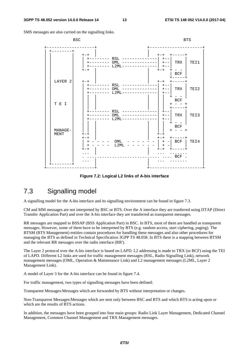SMS messages are also carried on the signalling links.



**Figure 7.2: Logical L2 links of A-bis interface** 

### 7.3 Signalling model

A signalling model for the A-bis interface and its signalling environment can be found in figure 7.3.

CM and MM messages are not interpreted by BSC or BTS. Over the A interface they are tranferred using DTAP (Direct Transfer Application Part) and over the A-bis interface they are transferred as transparent messages.

RR messages are mapped to BSSAP (BSS Application Part) in BSC. In BTS, most of them are handled as transparent messages. However, some of them have to be interpreted by BTS (e.g. random access, start ciphering, paging). The BTSM (BTS Management) entities contain procedures for handling these messages and also other procedures for managing the BTS as defined in Technical Specification 3GPP TS 48.058. In BTS there is a mapping between BTSM and the relevant RR messages over the radio interface (RR').

The Layer 2 protocol over the A-bis interface is based on LAPD. L2 addressing is made to TRX (or BCF) using the TEI of LAPD. Different L2 links are used for traffic management messages (RSL, Radio Signalling Link), network management messages (OML, Operation & Maintenance Link) and L2 management messages (L2ML, Layer 2 Management Link).

A model of Layer 3 for the A-bis interface can be found in figure 7.4.

For traffic management, two types of signalling messages have been defined:

Transparent Messages:Messages which are forwarded by BTS without interpretation or changes.

Non-Transparent Messages:Messages which are sent only between BSC and BTS and which BTS is acting upon or which are the results of BTS actions.

In addition, the messages have been grouped into four main groups: Radio Link Layer Management, Dedicated Channel Management, Common Channel Management and TRX Management messages.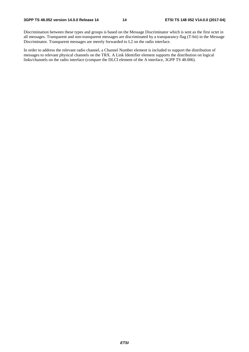Discrimination between these types and groups is based on the Message Discriminator which is sent as the first octet in all messages. Transparent and non-transparent messages are discriminated by a transparancy flag (T-bit) in the Message Discriminator. Transparent messages are merely forwarded to L2 on the radio interface.

In order to address the relevant radio channel, a Channel Number element is included to support the distribution of messages to relevant physical channels on the TRX. A Link Identifier element supports the distribution on logical links/channels on the radio interface (compare the DLCI element of the A interface, 3GPP TS 48.006).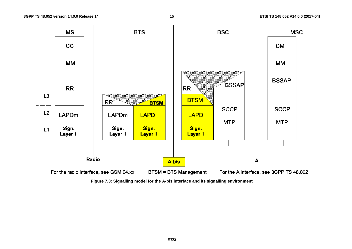

**Figure 7.3: Signalling model for the A-bis interface and its signalling environment**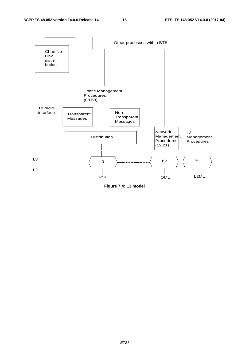

**Figure 7.4: L3 model**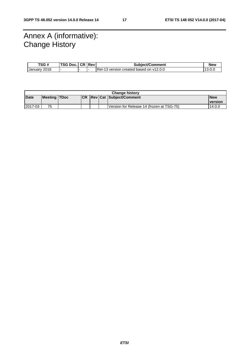### Annex A (informative): Change History

| TSG #        | <b>TSG Doc.</b> | I CR I Rev | Subject/Comment                          | <b>New</b> |
|--------------|-----------------|------------|------------------------------------------|------------|
| January 2016 |                 |            | IReI-13 version created based on y12.0.0 | 13.U.L     |

| <b>Change history</b> |                     |  |  |  |  |                                           |                |
|-----------------------|---------------------|--|--|--|--|-------------------------------------------|----------------|
| Date                  | <b>Meeting TDoc</b> |  |  |  |  | <b>CR   Rev   Cat   Subject/Comment  </b> | <b>New</b>     |
|                       |                     |  |  |  |  |                                           | <b>version</b> |
| 2017-03               | 75                  |  |  |  |  | Version for Release 14 (frozen at TSG-75) | 14.0.0         |